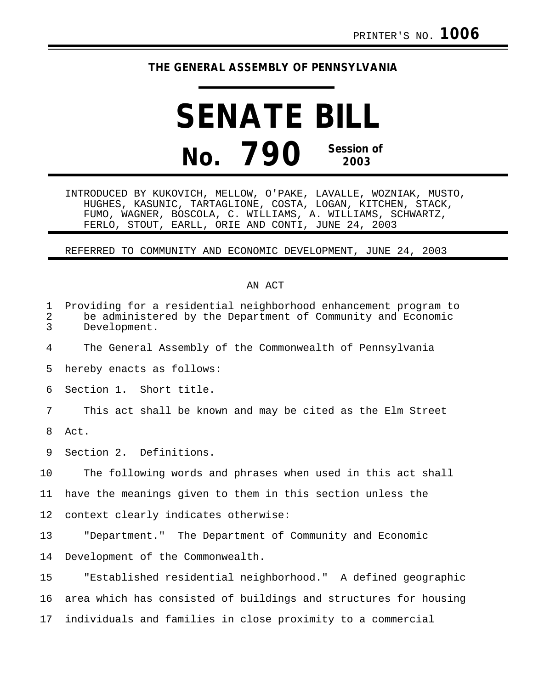## **THE GENERAL ASSEMBLY OF PENNSYLVANIA**

## **SENATE BILL No. 790 Session of 2003**

INTRODUCED BY KUKOVICH, MELLOW, O'PAKE, LAVALLE, WOZNIAK, MUSTO, HUGHES, KASUNIC, TARTAGLIONE, COSTA, LOGAN, KITCHEN, STACK, FUMO, WAGNER, BOSCOLA, C. WILLIAMS, A. WILLIAMS, SCHWARTZ, FERLO, STOUT, EARLL, ORIE AND CONTI, JUNE 24, 2003

## REFERRED TO COMMUNITY AND ECONOMIC DEVELOPMENT, JUNE 24, 2003

## AN ACT

| $\mathbf 1$<br>$\sqrt{2}$<br>$\overline{3}$ | Providing for a residential neighborhood enhancement program to<br>be administered by the Department of Community and Economic<br>Development. |
|---------------------------------------------|------------------------------------------------------------------------------------------------------------------------------------------------|
| 4                                           | The General Assembly of the Commonwealth of Pennsylvania                                                                                       |
| 5                                           | hereby enacts as follows:                                                                                                                      |
| 6                                           | Section 1. Short title.                                                                                                                        |
| 7                                           | This act shall be known and may be cited as the Elm Street                                                                                     |
| 8                                           | Act.                                                                                                                                           |
| 9                                           | Section 2. Definitions.                                                                                                                        |
| 10                                          | The following words and phrases when used in this act shall                                                                                    |
| 11                                          | have the meanings given to them in this section unless the                                                                                     |
| 12                                          | context clearly indicates otherwise:                                                                                                           |
| 13                                          | "Department." The Department of Community and Economic                                                                                         |
| 14                                          | Development of the Commonwealth.                                                                                                               |
| 15                                          | "Established residential neighborhood." A defined geographic                                                                                   |
| 16                                          | area which has consisted of buildings and structures for housing                                                                               |
| 17                                          | individuals and families in close proximity to a commercial                                                                                    |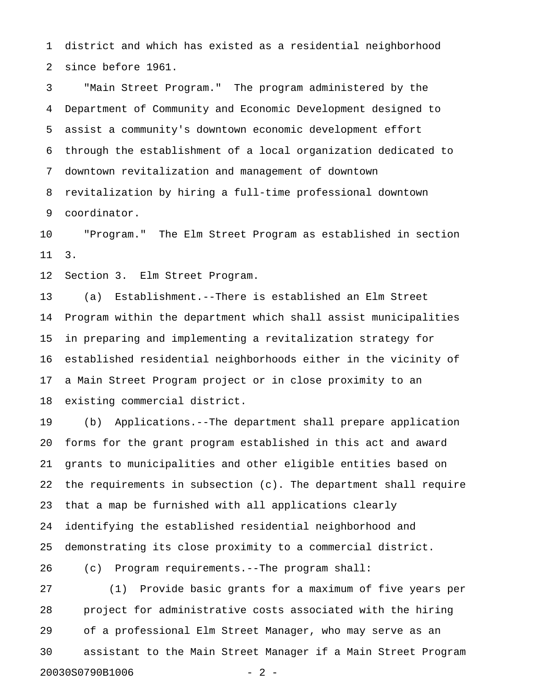1 district and which has existed as a residential neighborhood 2 since before 1961.

3 "Main Street Program." The program administered by the 4 Department of Community and Economic Development designed to 5 assist a community's downtown economic development effort 6 through the establishment of a local organization dedicated to 7 downtown revitalization and management of downtown 8 revitalization by hiring a full-time professional downtown 9 coordinator.

10 "Program." The Elm Street Program as established in section 11 3.

12 Section 3. Elm Street Program.

13 (a) Establishment.--There is established an Elm Street 14 Program within the department which shall assist municipalities 15 in preparing and implementing a revitalization strategy for 16 established residential neighborhoods either in the vicinity of 17 a Main Street Program project or in close proximity to an 18 existing commercial district.

19 (b) Applications.--The department shall prepare application 20 forms for the grant program established in this act and award 21 grants to municipalities and other eligible entities based on 22 the requirements in subsection (c). The department shall require 23 that a map be furnished with all applications clearly 24 identifying the established residential neighborhood and 25 demonstrating its close proximity to a commercial district.

26 (c) Program requirements.--The program shall:

27 (1) Provide basic grants for a maximum of five years per 28 project for administrative costs associated with the hiring 29 of a professional Elm Street Manager, who may serve as an 30 assistant to the Main Street Manager if a Main Street Program 20030S0790B1006 - 2 -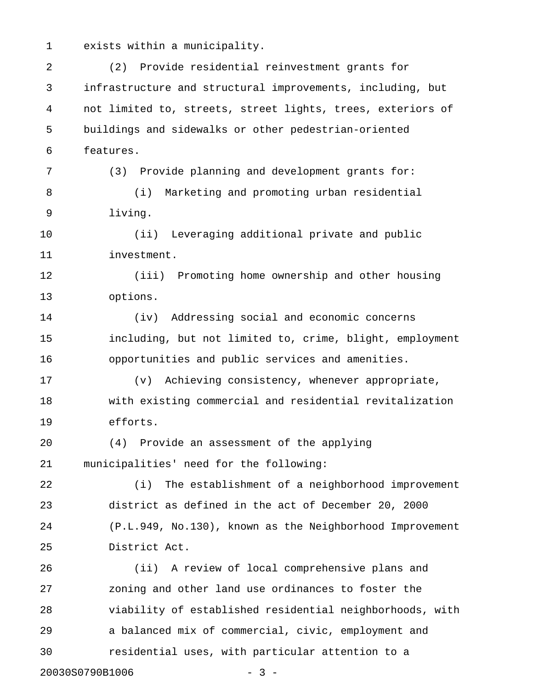1 exists within a municipality.

2 (2) Provide residential reinvestment grants for 3 infrastructure and structural improvements, including, but 4 not limited to, streets, street lights, trees, exteriors of 5 buildings and sidewalks or other pedestrian-oriented 6 features. 7 (3) Provide planning and development grants for: 8 (i) Marketing and promoting urban residential 9 living. 10 (ii) Leveraging additional private and public 11 investment. 12 (iii) Promoting home ownership and other housing 13 options. 14 (iv) Addressing social and economic concerns 15 including, but not limited to, crime, blight, employment 16 opportunities and public services and amenities. 17 (v) Achieving consistency, whenever appropriate, 18 with existing commercial and residential revitalization 19 efforts. 20 (4) Provide an assessment of the applying 21 municipalities' need for the following: 22 (i) The establishment of a neighborhood improvement 23 district as defined in the act of December 20, 2000 24 (P.L.949, No.130), known as the Neighborhood Improvement 25 District Act. 26 (ii) A review of local comprehensive plans and 27 zoning and other land use ordinances to foster the 28 viability of established residential neighborhoods, with 29 a balanced mix of commercial, civic, employment and 30 residential uses, with particular attention to a 20030S0790B1006 - 3 -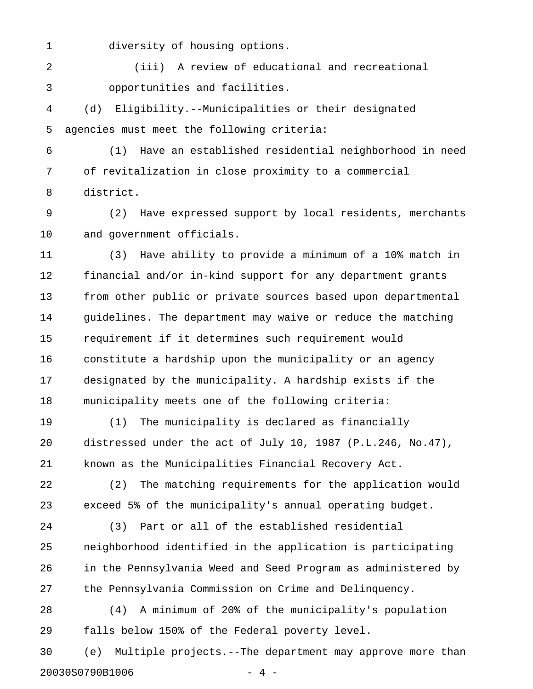1 diversity of housing options.

2 (iii) A review of educational and recreational 3 opportunities and facilities.

4 (d) Eligibility.--Municipalities or their designated 5 agencies must meet the following criteria:

6 (1) Have an established residential neighborhood in need 7 of revitalization in close proximity to a commercial 8 district.

9 (2) Have expressed support by local residents, merchants 10 and government officials.

11 (3) Have ability to provide a minimum of a 10% match in 12 financial and/or in-kind support for any department grants 13 from other public or private sources based upon departmental 14 guidelines. The department may waive or reduce the matching 15 requirement if it determines such requirement would 16 constitute a hardship upon the municipality or an agency 17 designated by the municipality. A hardship exists if the 18 municipality meets one of the following criteria:

19 (1) The municipality is declared as financially 20 distressed under the act of July 10, 1987 (P.L.246, No.47), 21 known as the Municipalities Financial Recovery Act.

22 (2) The matching requirements for the application would 23 exceed 5% of the municipality's annual operating budget.

24 (3) Part or all of the established residential 25 neighborhood identified in the application is participating 26 in the Pennsylvania Weed and Seed Program as administered by 27 the Pennsylvania Commission on Crime and Delinquency.

28 (4) A minimum of 20% of the municipality's population 29 falls below 150% of the Federal poverty level.

30 (e) Multiple projects.--The department may approve more than 20030S0790B1006 - 4 -